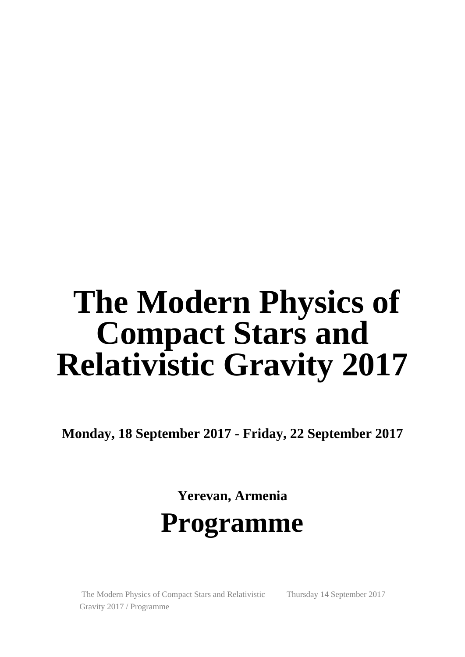# **The Modern Physics of Compact Stars and Relativistic Gravity 2017**

**Monday, 18 September 2017 - Friday, 22 September 2017**

**Yerevan, Armenia Programme**

 The Modern Physics of Compact Stars and Relativistic Gravity 2017 / Programme

Thursday 14 September 2017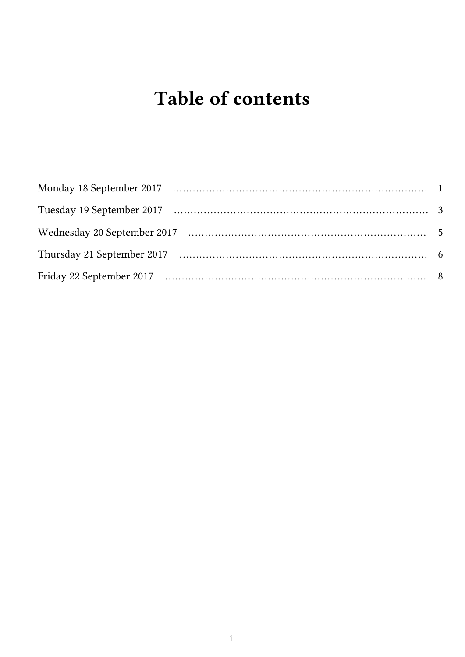## Table of contents

| Thursday 21 September 2017 (1994) (2008) (2014) (2014) (2014) (2014) (2014) (2014) (2014) (2014) (2014) (2014) (2014) (2014) (2014) (2014) (2014) (2014) (2014) (2014) (2014) (2014) (2014) (2014) (2014) (2014) (2014) (2014) |  |
|--------------------------------------------------------------------------------------------------------------------------------------------------------------------------------------------------------------------------------|--|
|                                                                                                                                                                                                                                |  |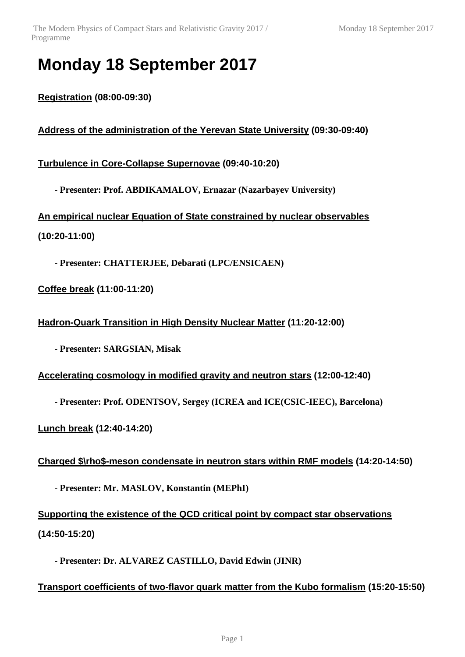### **Monday 18 September 2017**

**Registration (08:00-09:30)**

**Address of the administration of the Yerevan State University (09:30-09:40)**

**Turbulence in Core-Collapse Supernovae (09:40-10:20)**

**- Presenter: Prof. ABDIKAMALOV, Ernazar (Nazarbayev University)**

**An empirical nuclear Equation of State constrained by nuclear observables (10:20-11:00)**

**- Presenter: CHATTERJEE, Debarati (LPC/ENSICAEN)**

**Coffee break (11:00-11:20)**

**Hadron-Quark Transition in High Density Nuclear Matter (11:20-12:00)**

**- Presenter: SARGSIAN, Misak**

**Accelerating cosmology in modified gravity and neutron stars (12:00-12:40)**

**- Presenter: Prof. ODENTSOV, Sergey (ICREA and ICE(CSIC-IEEC), Barcelona)**

**Lunch break (12:40-14:20)**

**Charged \$\rho\$-meson condensate in neutron stars within RMF models (14:20-14:50)**

**- Presenter: Mr. MASLOV, Konstantin (MEPhI)**

**Supporting the existence of the QCD critical point by compact star observations (14:50-15:20)**

**- Presenter: Dr. ALVAREZ CASTILLO, David Edwin (JINR)**

**Transport coefficients of two-flavor quark matter from the Kubo formalism (15:20-15:50)**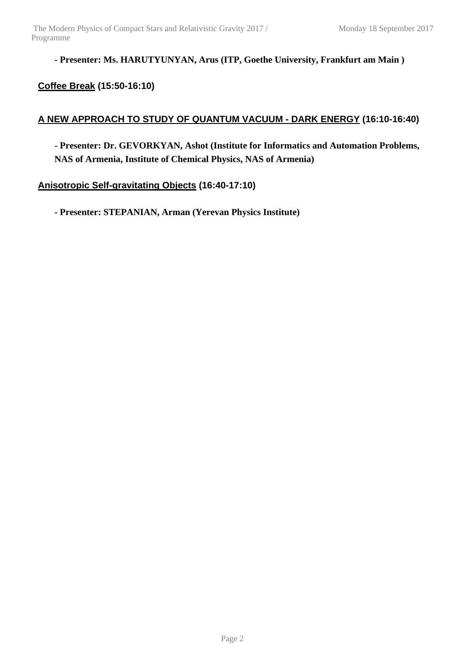**- Presenter: Ms. HARUTYUNYAN, Arus (ITP, Goethe University, Frankfurt am Main )**

#### **Coffee Break (15:50-16:10)**

#### **A NEW APPROACH TO STUDY OF QUANTUM VACUUM - DARK ENERGY (16:10-16:40)**

**- Presenter: Dr. GEVORKYAN, Ashot (Institute for Informatics and Automation Problems, NAS of Armenia, Institute of Chemical Physics, NAS of Armenia)**

**Anisotropic Self-gravitating Objects (16:40-17:10)**

**- Presenter: STEPANIAN, Arman (Yerevan Physics Institute)**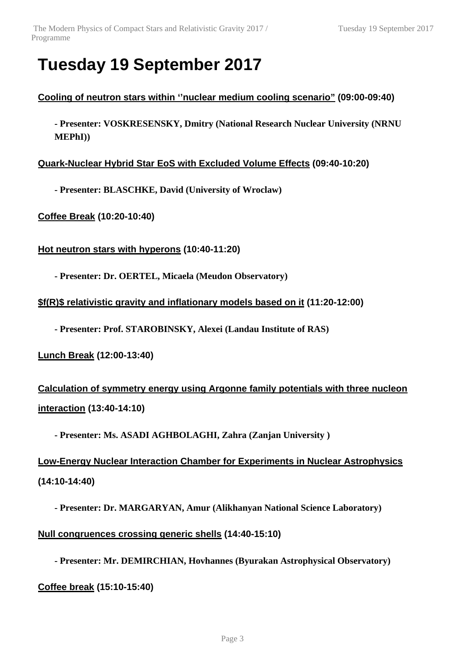### **Tuesday 19 September 2017**

#### **Cooling of neutron stars within ''nuclear medium cooling scenario" (09:00-09:40)**

**- Presenter: VOSKRESENSKY, Dmitry (National Research Nuclear University (NRNU MEPhI))**

**Quark-Nuclear Hybrid Star EoS with Excluded Volume Effects (09:40-10:20)**

**- Presenter: BLASCHKE, David (University of Wroclaw)**

**Coffee Break (10:20-10:40)**

**Hot neutron stars with hyperons (10:40-11:20)**

**- Presenter: Dr. OERTEL, Micaela (Meudon Observatory)**

**\$f(R)\$ relativistic gravity and inflationary models based on it (11:20-12:00)**

**- Presenter: Prof. STAROBINSKY, Alexei (Landau Institute of RAS)**

**Lunch Break (12:00-13:40)**

**Calculation of symmetry energy using Argonne family potentials with three nucleon interaction (13:40-14:10)**

**- Presenter: Ms. ASADI AGHBOLAGHI, Zahra (Zanjan University )**

**Low-Energy Nuclear Interaction Chamber for Experiments in Nuclear Astrophysics (14:10-14:40)**

**- Presenter: Dr. MARGARYAN, Amur (Alikhanyan National Science Laboratory) Null congruences crossing generic shells (14:40-15:10)**

**- Presenter: Mr. DEMIRCHIAN, Hovhannes (Byurakan Astrophysical Observatory)**

**Coffee break (15:10-15:40)**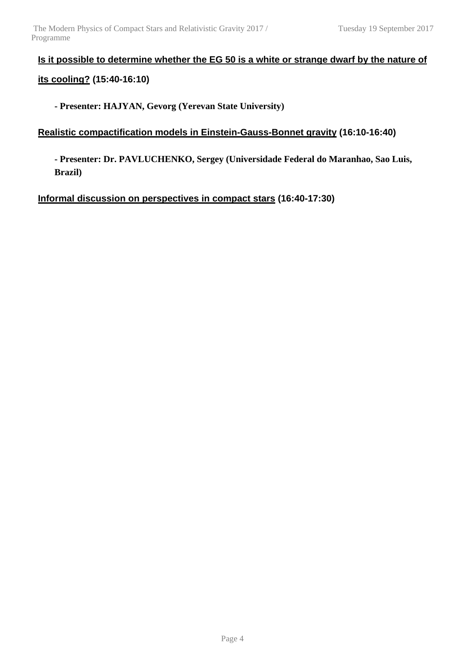#### **Is it possible to determine whether the EG 50 is a white or strange dwarf by the nature of its cooling? (15:40-16:10)**

**- Presenter: HAJYAN, Gevorg (Yerevan State University)**

#### **Realistic compactification models in Einstein-Gauss-Bonnet gravity (16:10-16:40)**

**- Presenter: Dr. PAVLUCHENKO, Sergey (Universidade Federal do Maranhao, Sao Luis, Brazil)**

**Informal discussion on perspectives in compact stars (16:40-17:30)**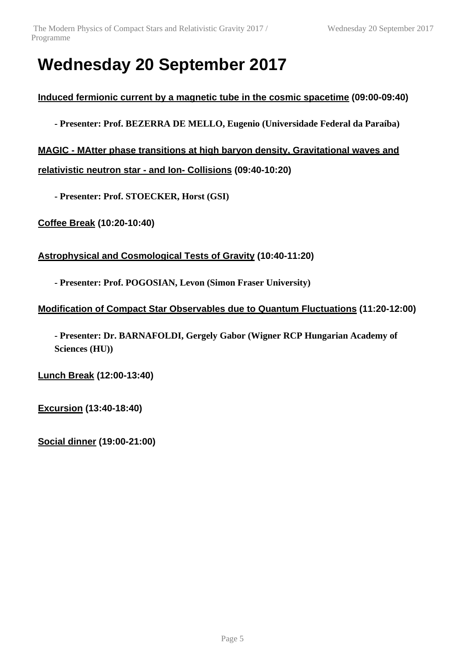### **Wednesday 20 September 2017**

**Induced fermionic current by a magnetic tube in the cosmic spacetime (09:00-09:40)**

**- Presenter: Prof. BEZERRA DE MELLO, Eugenio (Universidade Federal da Paraíba)**

**MAGIC - MAtter phase transitions at high baryon density, Gravitational waves and relativistic neutron star - and Ion- Collisions (09:40-10:20)**

**- Presenter: Prof. STOECKER, Horst (GSI)**

**Coffee Break (10:20-10:40)**

**Astrophysical and Cosmological Tests of Gravity (10:40-11:20)**

**- Presenter: Prof. POGOSIAN, Levon (Simon Fraser University)**

```
Modification of Compact Star Observables due to Quantum Fluctuations (11:20-12:00)
```
**- Presenter: Dr. BARNAFOLDI, Gergely Gabor (Wigner RCP Hungarian Academy of Sciences (HU))**

**Lunch Break (12:00-13:40)**

**Excursion (13:40-18:40)**

**Social dinner (19:00-21:00)**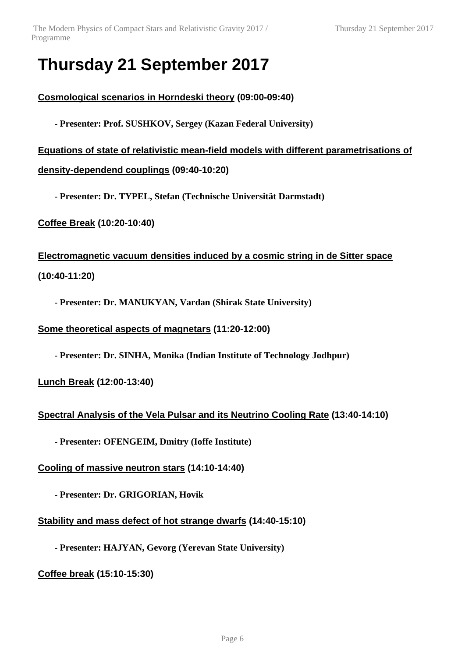### **Thursday 21 September 2017**

**Cosmological scenarios in Horndeski theory (09:00-09:40)**

**- Presenter: Prof. SUSHKOV, Sergey (Kazan Federal University)**

**Equations of state of relativistic mean-field models with different parametrisations of density-dependend couplings (09:40-10:20)**

**- Presenter: Dr. TYPEL, Stefan (Technische Universität Darmstadt)**

**Coffee Break (10:20-10:40)**

**Electromagnetic vacuum densities induced by a cosmic string in de Sitter space (10:40-11:20)**

**- Presenter: Dr. MANUKYAN, Vardan (Shirak State University)**

**Some theoretical aspects of magnetars (11:20-12:00)**

**- Presenter: Dr. SINHA, Monika (Indian Institute of Technology Jodhpur)**

**Lunch Break (12:00-13:40)**

**Spectral Analysis of the Vela Pulsar and its Neutrino Cooling Rate (13:40-14:10)**

**- Presenter: OFENGEIM, Dmitry (Ioffe Institute)**

**Cooling of massive neutron stars (14:10-14:40)**

**- Presenter: Dr. GRIGORIAN, Hovik**

**Stability and mass defect of hot strange dwarfs (14:40-15:10)**

**- Presenter: HAJYAN, Gevorg (Yerevan State University)**

**Coffee break (15:10-15:30)**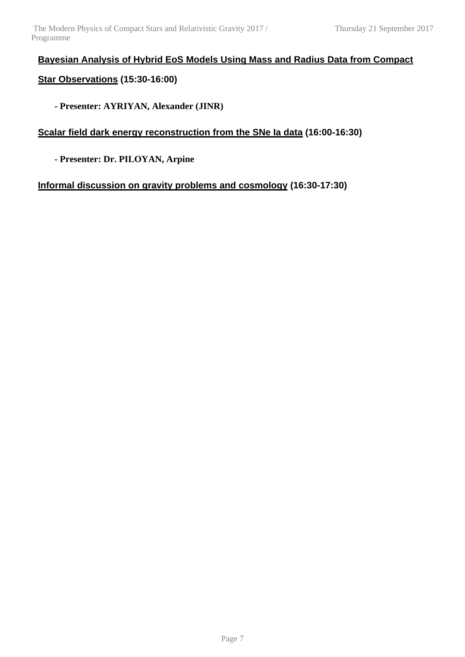### **Bayesian Analysis of Hybrid EoS Models Using Mass and Radius Data from Compact**

#### **Star Observations (15:30-16:00)**

**- Presenter: AYRIYAN, Alexander (JINR)**

#### **Scalar field dark energy reconstruction from the SNe Ia data (16:00-16:30)**

**- Presenter: Dr. PILOYAN, Arpine**

**Informal discussion on gravity problems and cosmology (16:30-17:30)**